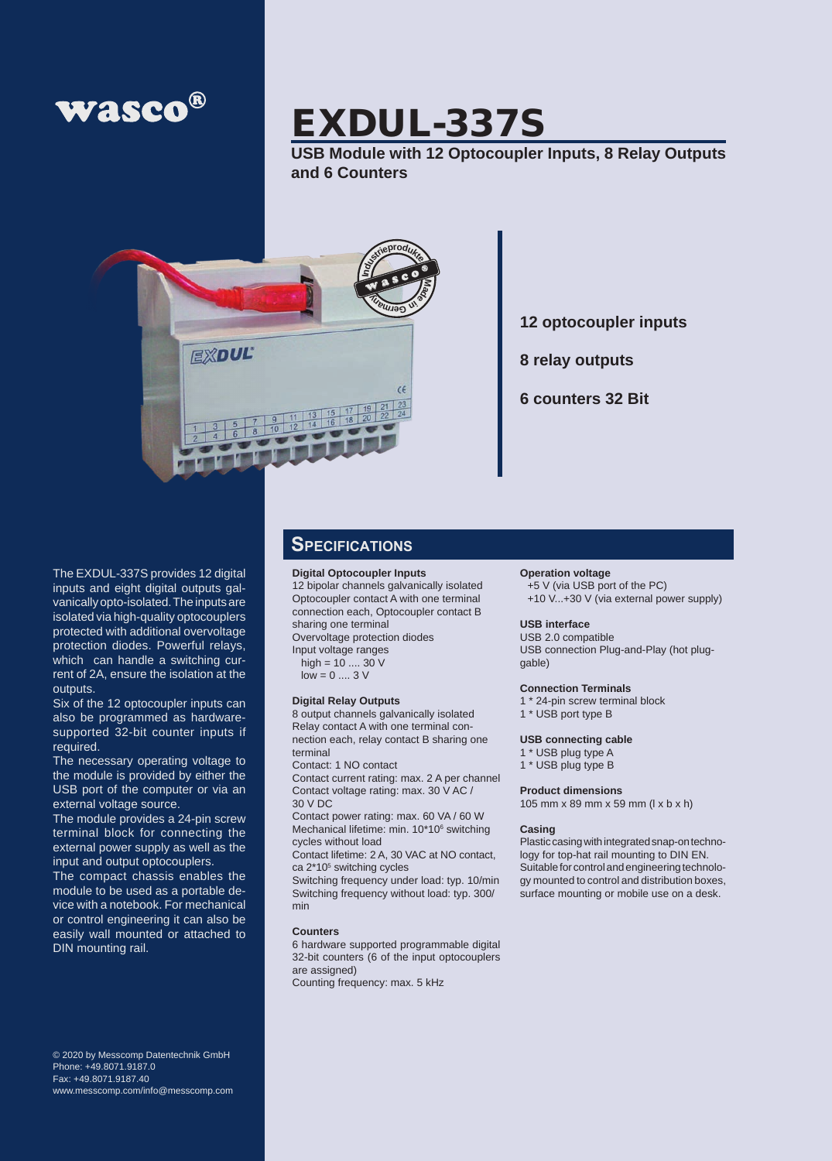

# EXDUL-337S

**USB Module with 12 Optocoupler Inputs, 8 Relay Outputs and 6 Counters**



**12 optocoupler inputs**

**8 relay outputs**

**6 counters 32 Bit**

The EXDUL-337S provides 12 digital inputs and eight digital outputs galvanically opto-isolated. The inputs are isolated via high-quality optocouplers protected with additional overvoltage protection diodes. Powerful relays, which can handle a switching current of 2A, ensure the isolation at the outputs.

Six of the 12 optocoupler inputs can also be programmed as hardwaresupported 32-bit counter inputs if required.

The necessary operating voltage to the module is provided by either the USB port of the computer or via an external voltage source.

The module provides a 24-pin screw terminal block for connecting the external power supply as well as the input and output optocouplers.

The compact chassis enables the module to be used as a portable device with a notebook. For mechanical or control engineering it can also be easily wall mounted or attached to DIN mounting rail.

© 2020 by Messcomp Datentechnik GmbH Phone: +49.8071.9187.0 Fax: +49.8071.9187.40 www.messcomp.com/info@messcomp.com

### **Specifications**

### **Digital Optocoupler Inputs**

12 bipolar channels galvanically isolated Optocoupler contact A with one terminal connection each, Optocoupler contact B sharing one terminal Overvoltage protection diodes

Input voltage ranges

high = 10 .... 30 V

 $low = 0 \dots 3 V$ 

#### **Digital Relay Outputs**

8 output channels galvanically isolated Relay contact A with one terminal connection each, relay contact B sharing one terminal

Contact: 1 NO contact

Contact current rating: max. 2 A per channel Contact voltage rating: max. 30 V AC / 30 V DC

Contact power rating: max. 60 VA / 60 W Mechanical lifetime: min. 10\*10<sup>6</sup> switching cycles without load

Contact lifetime: 2 A, 30 VAC at NO contact, ca 2\*10<sup>5</sup> switching cycles

Switching frequency under load: typ. 10/min Switching frequency without load: typ. 300/ min

#### **Counters**

6 hardware supported programmable digital 32-bit counters (6 of the input optocouplers are assigned) Counting frequency: max. 5 kHz

#### **Operation voltage**

+5 V (via USB port of the PC) +10 V...+30 V (via external power supply)

### **USB interface**

USB 2.0 compatible USB connection Plug-and-Play (hot pluggable)

#### **Connection Terminals**

- 1 \* 24-pin screw terminal block
- 1 \* USB port type B

#### **USB connecting cable**

- 1 \* USB plug type A
- 1 \* USB plug type B

#### **Product dimensions**

105 mm x 89 mm x 59 mm (l x b x h)

#### **Casing**

Plastic casing with integrated snap-on technology for top-hat rail mounting to DIN EN. Suitable for control and engineering technology mounted to control and distribution boxes, surface mounting or mobile use on a desk.